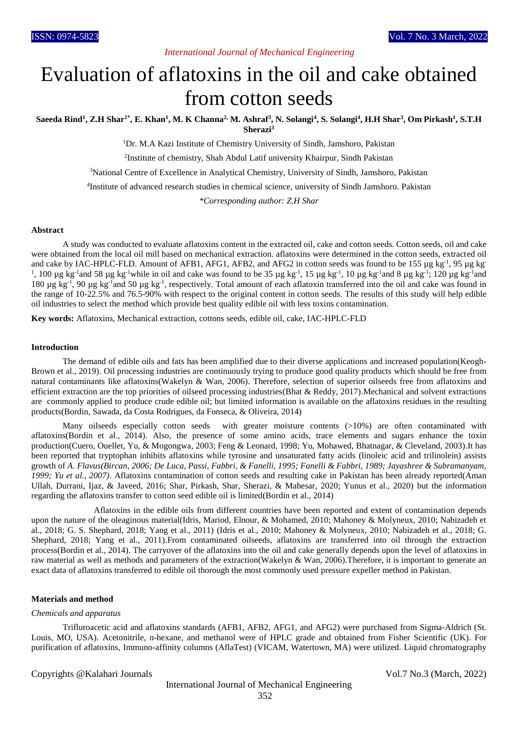# *International Journal of Mechanical Engineering*

# Evaluation of aflatoxins in the oil and cake obtained from cotton seeds

Saeeda Rind<sup>1</sup>, Z.H Shar<sup>1\*</sup>, E. Khan<sup>1</sup>, M. K Channa<sup>2,</sup> M. Ashraf<sup>3</sup>, N. Solangi<sup>4</sup>, S. Solangi<sup>4</sup>, H.H Shar<sup>3</sup>, Om Pirkash<sup>1</sup>, S.T.H **Sherazi<sup>3</sup>**

<sup>1</sup>Dr. M.A Kazi Institute of Chemistry University of Sindh, Jamshoro, Pakistan

<sup>2</sup>Institute of chemistry, Shah Abdul Latif university Khairpur, Sindh Pakistan

<sup>3</sup>National Centre of Excellence in Analytical Chemistry, University of Sindh, Jamshoro, Pakistan

4 Institute of advanced research studies in chemical science, university of Sindh Jamshoro. Pakistan

*\*Corresponding author: Z.H Shar*

#### **Abstract**

A study was conducted to evaluate aflatoxins content in the extracted oil, cake and cotton seeds. Cotton seeds, oil and cake were obtained from the local oil mill based on mechanical extraction. aflatoxins were determined in the cotton seeds, extracted oil and cake by IAC-HPLC-FLD. Amount of AFB1, AFG1, AFB2, and AFG2 in cotton seeds was found to be 155  $\mu$ g kg<sup>-1</sup>, 95  $\mu$ g kg<sup>-1</sup> <sup>1</sup>, 100 µg kg<sup>-1</sup> and 58 µg kg<sup>-1</sup> while in oil and cake was found to be 35 µg kg<sup>-1</sup>, 15 µg kg<sup>-1</sup>, 10 µg kg<sup>-1</sup> and 8 µg kg<sup>-1</sup>; 120 µg kg<sup>-1</sup> and 180 µg kg<sup>-1</sup>, 90 µg kg<sup>-1</sup> and 50 µg kg<sup>-1</sup>, respectively. Total amount of each aflatoxin transferred into the oil and cake was found in the range of 10-22.5% and 76.5-90% with respect to the original content in cotton seeds. The results of this study will help edible oil industries to select the method which provide best quality edible oil with less toxins contamination.

**Key words:** Aflatoxins, Mechanical extraction, cottons seeds, edible oil, cake, IAC-HPLC-FLD

#### **Introduction**

The demand of edible oils and fats has been amplified due to their diverse applications and increased population(Keogh-Brown et al., 2019). Oil processing industries are continuously trying to produce good quality products which should be free from natural contaminants like aflatoxins(Wakelyn & Wan, 2006). Therefore, selection of superior oilseeds free from aflatoxins and efficient extraction are the top priorities of oilseed processing industries(Bhat & Reddy, 2017).Mechanical and solvent extractions are commonly applied to produce crude edible oil; but limited information is available on the aflatoxins residues in the resulting products(Bordin, Sawada, da Costa Rodrigues, da Fonseca, & Oliveira, 2014)

Many oilseeds especially cotton seeds with greater moisture contents (>10%) are often contaminated with aflatoxins(Bordin et al., 2014). Also, the presence of some amino acids, trace elements and sugars enhance the toxin production(Cuero, Ouellet, Yu, & Mogongwa, 2003; Feng & Leonard, 1998; Yu, Mohawed, Bhatnagar, & Cleveland, 2003).It has been reported that tryptophan inhibits aflatoxins while tyrosine and unsaturated fatty acids (linoleic acid and trilinolein) assists growth of *A. Flavus(Bircan, 2006; De Luca, Passi, Fabbri, & Fanelli, 1995; Fanelli & Fabbri, 1989; Jayashree & Subramanyam, 1999; Yu et al., 2007)*. Aflatoxins contamination of cotton seeds and resulting cake in Pakistan has been already reported(Aman Ullah, Durrani, Ijaz, & Javeed, 2016; Shar, Pirkash, Shar, Sherazi, & Mahesar, 2020; Yunus et al., 2020) but the information regarding the aflatoxins transfer to cotton seed edible oil is limited(Bordin et al., 2014)

Aflatoxins in the edible oils from different countries have been reported and extent of contamination depends upon the nature of the oleaginous material(Idris, Mariod, Elnour, & Mohamed, 2010; Mahoney & Molyneux, 2010; Nabizadeh et al., 2018; G. S. Shephard, 2018; Yang et al., 2011) (Idris et al., 2010; Mahoney & Molyneux, 2010; Nabizadeh et al., 2018; G. Shephard, 2018; Yang et al., 2011).From contaminated oilseeds, aflatoxins are transferred into oil through the extraction process(Bordin et al., 2014). The carryover of the aflatoxins into the oil and cake generally depends upon the level of aflatoxins in raw material as well as methods and parameters of the extraction(Wakelyn & Wan, 2006).Therefore, it is important to generate an exact data of aflatoxins transferred to edible oil thorough the most commonly used pressure expeller method in Pakistan.

## **Materials and method**

#### *Chemicals and apparatus*

Trifluroacetic acid and aflatoxins standards (AFB1, AFB2, AFG1, and AFG2) were purchased from Sigma-Aldrich (St. Louis, MO, USA). Acetonitrile, n-hexane, and methanol were of HPLC grade and obtained from Fisher Scientific (UK). For purification of aflatoxins, Immuno-affinity columns (AflaTest) (VICAM, Watertown, MA) were utilized. Liquid chromatography

Copyrights @Kalahari Journals Vol.7 No.3 (March, 2022)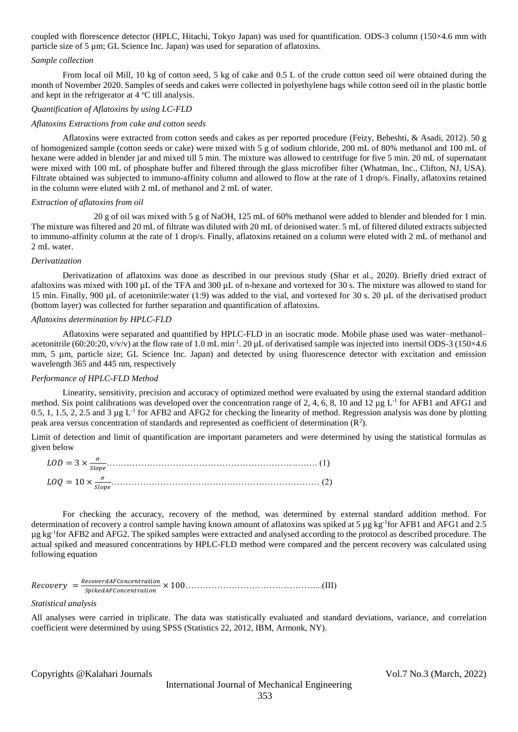coupled with florescence detector (HPLC, Hitachi, Tokyo Japan) was used for quantification. ODS-3 column (150×4.6 mm with particle size of 5 um; GL Science Inc. Japan) was used for separation of aflatoxins.

#### *Sample collection*

From local oil Mill, 10 kg of cotton seed, 5 kg of cake and 0.5 L of the crude cotton seed oil were obtained during the month of November 2020. Samples of seeds and cakes were collected in polyethylene bags while cotton seed oil in the plastic bottle and kept in the refrigerator at  $4^{\circ}$ C till analysis.

## *Quantification of Aflatoxins by using LC-FLD*

#### *Aflatoxins Extractions from cake and cotton seeds*

Aflatoxins were extracted from cotton seeds and cakes as per reported procedure (Feizy, Beheshti, & Asadi, 2012). 50 g of homogenized sample (cotton seeds or cake) were mixed with 5 g of sodium chloride, 200 mL of 80% methanol and 100 mL of hexane were added in blender jar and mixed till 5 min. The mixture was allowed to centrifuge for five 5 min. 20 mL of supernatant were mixed with 100 mL of phosphate buffer and filtered through the glass microfiber filter (Whatman, Inc., Clifton, NJ, USA). Filtrate obtained was subjected to immuno-affinity column and allowed to flow at the rate of 1 drop/s. Finally, aflatoxins retained in the column were eluted with 2 mL of methanol and 2 mL of water.

#### *Extraction of aflatoxins from oil*

20 g of oil was mixed with 5 g of NaOH, 125 mL of 60% methanol were added to blender and blended for 1 min. The mixture was filtered and 20 mL of filtrate was diluted with 20 mL of deionised water. 5 mL of filtered diluted extracts subjected to immuno-affinity column at the rate of 1 drop/s. Finally, aflatoxins retained on a column were eluted with 2 mL of methanol and 2 mL water.

## *Derivatization*

Derivatization of aflatoxins was done as described in our previous study (Shar et al., 2020). Briefly dried extract of afaltoxins was mixed with 100 µL of the TFA and 300 µL of n-hexane and vortexed for 30 s. The mixture was allowed to stand for 15 min. Finally, 900 µL of acetonitrile:water (1:9) was added to the vial, and vortexed for 30 s. 20 µL of the derivatised product (bottom layer) was collected for further separation and quantification of aflatoxins.

## *Aflatoxins determination by HPLC-FLD*

Aflatoxins were separated and quantified by HPLC-FLD in an isocratic mode. Mobile phase used was water–methanol– acetonitrile (60:20:20,  $v/v/v$ ) at the flow rate of 1.0 mL min<sup>-1</sup>. 20 µL of derivatised sample was injected into inertsil ODS-3 (150×4.6) mm, 5 µm, particle size; GL Science Inc. Japan) and detected by using fluorescence detector with excitation and emission wavelength 365 and 445 nm, respectively

### *Performance of HPLC-FLD Method*

Linearity, sensitivity, precision and accuracy of optimized method were evaluated by using the external standard addition method. Six point calibrations was developed over the concentration range of 2, 4, 6, 8, 10 and 12  $\mu$ g L<sup>-1</sup> for AFB1 and AFG1 and 0.5, 1, 1.5, 2, 2.5 and 3  $\mu$ g L<sup>-1</sup> for AFB2 and AFG2 for checking the linearity of method. Regression analysis was done by plotting peak area versus concentration of standards and represented as coefficient of determination  $(R^2)$ .

Limit of detection and limit of quantification are important parameters and were determined by using the statistical formulas as given below

$$
LOD = 3 \times \frac{\sigma}{slope} \tag{1}
$$
\n
$$
LOQ = 10 \times \frac{\sigma}{slope} \tag{2}
$$

For checking the accuracy, recovery of the method, was determined by external standard addition method. For determination of recovery a control sample having known amount of aflatoxins was spiked at 5  $\mu$ g kg<sup>-1</sup>for AFB1 and AFG1 and 2.5 µg kg<sup>-1</sup>for AFB2 and AFG2. The spiked samples were extracted and analysed according to the protocol as described procedure. The actual spiked and measured concentrations by HPLC-FLD method were compared and the percent recovery was calculated using following equation

 $Recovery = \frac{RecoveredAF concentration}{Coulized AFG measurementization}$ × 100………………………………………...(III)

## *Statistical analysis*

All analyses were carried in triplicate. The data was statistically evaluated and standard deviations, variance, and correlation coefficient were determined by using SPSS (Statistics 22, 2012, IBM, Armonk, NY).

Copyrights @Kalahari Journals Vol.7 No.3 (March, 2022)

International Journal of Mechanical Engineering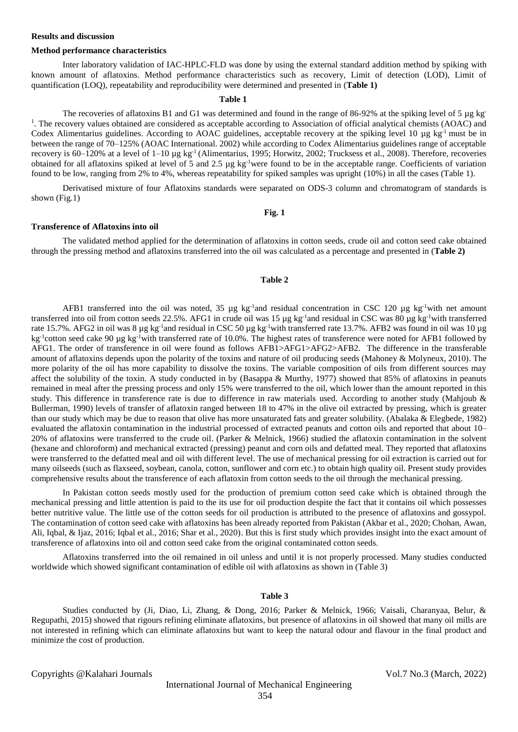#### **Results and discussion**

#### **Method performance characteristics**

Inter laboratory validation of IAC-HPLC-FLD was done by using the external standard addition method by spiking with known amount of aflatoxins. Method performance characteristics such as recovery, Limit of detection (LOD), Limit of quantification (LOQ), repeatability and reproducibility were determined and presented in (**Table 1)**

#### **Table 1**

The recoveries of aflatoxins B1 and G1 was determined and found in the range of 86-92% at the spiking level of 5  $\mu$ g kg 1 . The recovery values obtained are considered as acceptable according to Association of official analytical chemists (AOAC) and Codex Alimentarius guidelines. According to AOAC guidelines, acceptable recovery at the spiking level 10 µg kg<sup>-1</sup> must be in between the range of 70–125% (AOAC International. 2002) while according to Codex Alimentarius guidelines range of acceptable recovery is 60–120% at a level of 1–10 µg kg<sup>-1</sup> (Alimentarius, 1995; Horwitz, 2002; Trucksess et al., 2008). Therefore, recoveries obtained for all aflatoxins spiked at level of 5 and 2.5 µg kg<sup>-1</sup>were found to be in the acceptable range. Coefficients of variation found to be low, ranging from 2% to 4%, whereas repeatability for spiked samples was upright (10%) in all the cases (Table 1).

Derivatised mixture of four Aflatoxins standards were separated on ODS-3 column and chromatogram of standards is shown (Fig.1)

#### **Fig. 1**

#### **Transference of Aflatoxins into oil**

The validated method applied for the determination of aflatoxins in cotton seeds, crude oil and cotton seed cake obtained through the pressing method and aflatoxins transferred into the oil was calculated as a percentage and presented in (**Table 2)**

## **Table 2**

AFB1 transferred into the oil was noted, 35  $\mu$ g kg<sup>-1</sup>and residual concentration in CSC 120  $\mu$ g kg<sup>-1</sup>with net amount transferred into oil from cotton seeds 22.5%. AFG1 in crude oil was 15 µg kg<sup>-1</sup>and residual in CSC was 80 µg kg<sup>-1</sup>with transferred rate 15.7%. AFG2 in oil was 8  $\mu$ g kg<sup>-1</sup>and residual in CSC 50  $\mu$ g kg<sup>-1</sup>with transferred rate 13.7%. AFB2 was found in oil was 10  $\mu$ g kg<sup>-1</sup>cotton seed cake 90 µg kg<sup>-1</sup>with transferred rate of 10.0%. The highest rates of transference were noted for AFB1 followed by AFG1. The order of transference in oil were found as follows AFB1>AFG1>AFG2>AFB2. The difference in the transferable amount of aflatoxins depends upon the polarity of the toxins and nature of oil producing seeds (Mahoney & Molyneux, 2010). The more polarity of the oil has more capability to dissolve the toxins. The variable composition of oils from different sources may affect the solubility of the toxin. A study conducted in by (Basappa & Murthy, 1977) showed that 85% of aflatoxins in peanuts remained in meal after the pressing process and only 15% were transferred to the oil, which lower than the amount reported in this study. This difference in transference rate is due to difference in raw materials used. According to another study (Mahjoub & Bullerman, 1990) levels of transfer of aflatoxin ranged between 18 to 47% in the olive oil extracted by pressing, which is greater than our study which may be due to reason that olive has more unsaturated fats and greater solubility. (Abalaka & Elegbede, 1982) evaluated the aflatoxin contamination in the industrial processed of extracted peanuts and cotton oils and reported that about 10– 20% of aflatoxins were transferred to the crude oil. (Parker & Melnick, 1966) studied the aflatoxin contamination in the solvent (hexane and chloroform) and mechanical extracted (pressing) peanut and corn oils and defatted meal. They reported that aflatoxins were transferred to the defatted meal and oil with different level. The use of mechanical pressing for oil extraction is carried out for many oilseeds (such as flaxseed, soybean, canola, cotton, sunflower and corn etc.) to obtain high quality oil. Present study provides comprehensive results about the transference of each aflatoxin from cotton seeds to the oil through the mechanical pressing.

In Pakistan cotton seeds mostly used for the production of premium cotton seed cake which is obtained through the mechanical pressing and little attention is paid to the its use for oil production despite the fact that it contains oil which possesses better nutritive value. The little use of the cotton seeds for oil production is attributed to the presence of aflatoxins and gossypol. The contamination of cotton seed cake with aflatoxins has been already reported from Pakistan (Akbar et al., 2020; Chohan, Awan, Ali, Iqbal, & Ijaz, 2016; Iqbal et al., 2016; Shar et al., 2020). But this is first study which provides insight into the exact amount of transference of aflatoxins into oil and cotton seed cake from the original contaminated cotton seeds.

Aflatoxins transferred into the oil remained in oil unless and until it is not properly processed. Many studies conducted worldwide which showed significant contamination of edible oil with aflatoxins as shown in (Table 3)

## **Table 3**

Studies conducted by (Ji, Diao, Li, Zhang, & Dong, 2016; Parker & Melnick, 1966; Vaisali, Charanyaa, Belur, & Regupathi, 2015) showed that rigours refining eliminate aflatoxins, but presence of aflatoxins in oil showed that many oil mills are not interested in refining which can eliminate aflatoxins but want to keep the natural odour and flavour in the final product and minimize the cost of production.

Copyrights @Kalahari Journals Vol.7 No.3 (March, 2022)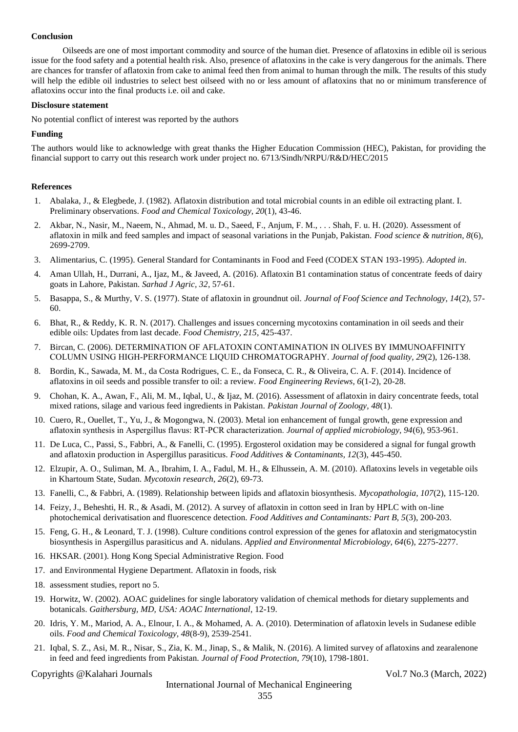## **Conclusion**

Oilseeds are one of most important commodity and source of the human diet. Presence of aflatoxins in edible oil is serious issue for the food safety and a potential health risk. Also, presence of aflatoxins in the cake is very dangerous for the animals. There are chances for transfer of aflatoxin from cake to animal feed then from animal to human through the milk. The results of this study will help the edible oil industries to select best oilseed with no or less amount of aflatoxins that no or minimum transference of aflatoxins occur into the final products i.e. oil and cake.

## **Disclosure statement**

No potential conflict of interest was reported by the authors

## **Funding**

The authors would like to acknowledge with great thanks the Higher Education Commission (HEC), Pakistan, for providing the financial support to carry out this research work under project no. 6713/Sindh/NRPU/R&D/HEC/2015

## **References**

- 1. Abalaka, J., & Elegbede, J. (1982). Aflatoxin distribution and total microbial counts in an edible oil extracting plant. I. Preliminary observations. *Food and Chemical Toxicology, 20*(1), 43-46.
- 2. Akbar, N., Nasir, M., Naeem, N., Ahmad, M. u. D., Saeed, F., Anjum, F. M., . . . Shah, F. u. H. (2020). Assessment of aflatoxin in milk and feed samples and impact of seasonal variations in the Punjab, Pakistan. *Food science & nutrition, 8*(6), 2699-2709.
- 3. Alimentarius, C. (1995). General Standard for Contaminants in Food and Feed (CODEX STAN 193-1995). *Adopted in*.
- 4. Aman Ullah, H., Durrani, A., Ijaz, M., & Javeed, A. (2016). Aflatoxin B1 contamination status of concentrate feeds of dairy goats in Lahore, Pakistan. *Sarhad J Agric, 32*, 57-61.
- 5. Basappa, S., & Murthy, V. S. (1977). State of aflatoxin in groundnut oil. *Journal of Foof Science and Technology, 14*(2), 57- 60.
- 6. Bhat, R., & Reddy, K. R. N. (2017). Challenges and issues concerning mycotoxins contamination in oil seeds and their edible oils: Updates from last decade. *Food Chemistry, 215*, 425-437.
- 7. Bircan, C. (2006). DETERMINATION OF AFLATOXIN CONTAMINATION IN OLIVES BY IMMUNOAFFINITY COLUMN USING HIGH‐PERFORMANCE LIQUID CHROMATOGRAPHY. *Journal of food quality, 29*(2), 126-138.
- 8. Bordin, K., Sawada, M. M., da Costa Rodrigues, C. E., da Fonseca, C. R., & Oliveira, C. A. F. (2014). Incidence of aflatoxins in oil seeds and possible transfer to oil: a review. *Food Engineering Reviews, 6*(1-2), 20-28.
- 9. Chohan, K. A., Awan, F., Ali, M. M., Iqbal, U., & Ijaz, M. (2016). Assessment of aflatoxin in dairy concentrate feeds, total mixed rations, silage and various feed ingredients in Pakistan. *Pakistan Journal of Zoology, 48*(1).
- 10. Cuero, R., Ouellet, T., Yu, J., & Mogongwa, N. (2003). Metal ion enhancement of fungal growth, gene expression and aflatoxin synthesis in Aspergillus flavus: RT‐PCR characterization. *Journal of applied microbiology, 94*(6), 953-961.
- 11. De Luca, C., Passi, S., Fabbri, A., & Fanelli, C. (1995). Ergosterol oxidation may be considered a signal for fungal growth and aflatoxin production in Aspergillus parasiticus. *Food Additives & Contaminants, 12*(3), 445-450.
- 12. Elzupir, A. O., Suliman, M. A., Ibrahim, I. A., Fadul, M. H., & Elhussein, A. M. (2010). Aflatoxins levels in vegetable oils in Khartoum State, Sudan. *Mycotoxin research, 26*(2), 69-73.
- 13. Fanelli, C., & Fabbri, A. (1989). Relationship between lipids and aflatoxin biosynthesis. *Mycopathologia, 107*(2), 115-120.
- 14. Feizy, J., Beheshti, H. R., & Asadi, M. (2012). A survey of aflatoxin in cotton seed in Iran by HPLC with on-line photochemical derivatisation and fluorescence detection. *Food Additives and Contaminants: Part B, 5*(3), 200-203.
- 15. Feng, G. H., & Leonard, T. J. (1998). Culture conditions control expression of the genes for aflatoxin and sterigmatocystin biosynthesis in Aspergillus parasiticus and A. nidulans. *Applied and Environmental Microbiology, 64*(6), 2275-2277.
- 16. HKSAR. (2001). Hong Kong Special Administrative Region. Food
- 17. and Environmental Hygiene Department. Aflatoxin in foods, risk
- 18. assessment studies, report no 5.
- 19. Horwitz, W. (2002). AOAC guidelines for single laboratory validation of chemical methods for dietary supplements and botanicals. *Gaithersburg, MD, USA: AOAC International*, 12-19.
- 20. Idris, Y. M., Mariod, A. A., Elnour, I. A., & Mohamed, A. A. (2010). Determination of aflatoxin levels in Sudanese edible oils. *Food and Chemical Toxicology, 48*(8-9), 2539-2541.
- 21. Iqbal, S. Z., Asi, M. R., Nisar, S., Zia, K. M., Jinap, S., & Malik, N. (2016). A limited survey of aflatoxins and zearalenone in feed and feed ingredients from Pakistan. *Journal of Food Protection, 79*(10), 1798-1801.

Copyrights @Kalahari Journals Vol.7 No.3 (March, 2022)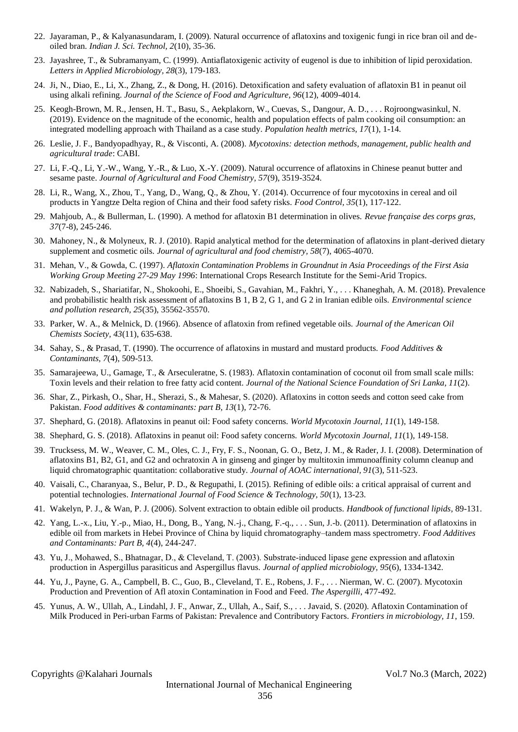- 22. Jayaraman, P., & Kalyanasundaram, I. (2009). Natural occurrence of aflatoxins and toxigenic fungi in rice bran oil and deoiled bran. *Indian J. Sci. Technol, 2*(10), 35-36.
- 23. Jayashree, T., & Subramanyam, C. (1999). Antiaflatoxigenic activity of eugenol is due to inhibition of lipid peroxidation. *Letters in Applied Microbiology, 28*(3), 179-183.
- 24. Ji, N., Diao, E., Li, X., Zhang, Z., & Dong, H. (2016). Detoxification and safety evaluation of aflatoxin B1 in peanut oil using alkali refining. *Journal of the Science of Food and Agriculture, 96*(12), 4009-4014.
- 25. Keogh-Brown, M. R., Jensen, H. T., Basu, S., Aekplakorn, W., Cuevas, S., Dangour, A. D., . . . Rojroongwasinkul, N. (2019). Evidence on the magnitude of the economic, health and population effects of palm cooking oil consumption: an integrated modelling approach with Thailand as a case study. *Population health metrics, 17*(1), 1-14.
- 26. Leslie, J. F., Bandyopadhyay, R., & Visconti, A. (2008). *Mycotoxins: detection methods, management, public health and agricultural trade*: CABI.
- 27. Li, F.-Q., Li, Y.-W., Wang, Y.-R., & Luo, X.-Y. (2009). Natural occurrence of aflatoxins in Chinese peanut butter and sesame paste. *Journal of Agricultural and Food Chemistry, 57*(9), 3519-3524.
- 28. Li, R., Wang, X., Zhou, T., Yang, D., Wang, Q., & Zhou, Y. (2014). Occurrence of four mycotoxins in cereal and oil products in Yangtze Delta region of China and their food safety risks. *Food Control, 35*(1), 117-122.
- 29. Mahjoub, A., & Bullerman, L. (1990). A method for aflatoxin B1 determination in olives. *Revue française des corps gras, 37*(7-8), 245-246.
- 30. Mahoney, N., & Molyneux, R. J. (2010). Rapid analytical method for the determination of aflatoxins in plant-derived dietary supplement and cosmetic oils. *Journal of agricultural and food chemistry, 58*(7), 4065-4070.
- 31. Mehan, V., & Gowda, C. (1997). *Aflatoxin Contamination Problems in Groundnut in Asia Proceedings of the First Asia Working Group Meeting 27-29 May 1996*: International Crops Research Institute for the Semi-Arid Tropics.
- 32. Nabizadeh, S., Shariatifar, N., Shokoohi, E., Shoeibi, S., Gavahian, M., Fakhri, Y., . . . Khaneghah, A. M. (2018). Prevalence and probabilistic health risk assessment of aflatoxins B 1, B 2, G 1, and G 2 in Iranian edible oils. *Environmental science and pollution research, 25*(35), 35562-35570.
- 33. Parker, W. A., & Melnick, D. (1966). Absence of aflatoxin from refined vegetable oils. *Journal of the American Oil Chemists Society, 43*(11), 635-638.
- 34. Sahay, S., & Prasad, T. (1990). The occurrence of aflatoxins in mustard and mustard products. *Food Additives & Contaminants, 7*(4), 509-513.
- 35. Samarajeewa, U., Gamage, T., & Arseculeratne, S. (1983). Aflatoxin contamination of coconut oil from small scale mills: Toxin levels and their relation to free fatty acid content. *Journal of the National Science Foundation of Sri Lanka, 11*(2).
- 36. Shar, Z., Pirkash, O., Shar, H., Sherazi, S., & Mahesar, S. (2020). Aflatoxins in cotton seeds and cotton seed cake from Pakistan. *Food additives & contaminants: part B, 13*(1), 72-76.
- 37. Shephard, G. (2018). Aflatoxins in peanut oil: Food safety concerns. *World Mycotoxin Journal, 11*(1), 149-158.
- 38. Shephard, G. S. (2018). Aflatoxins in peanut oil: Food safety concerns. *World Mycotoxin Journal, 11*(1), 149-158.
- 39. Trucksess, M. W., Weaver, C. M., Oles, C. J., Fry, F. S., Noonan, G. O., Betz, J. M., & Rader, J. I. (2008). Determination of aflatoxins B1, B2, G1, and G2 and ochratoxin A in ginseng and ginger by multitoxin immunoaffinity column cleanup and liquid chromatographic quantitation: collaborative study. *Journal of AOAC international, 91*(3), 511-523.
- 40. Vaisali, C., Charanyaa, S., Belur, P. D., & Regupathi, I. (2015). Refining of edible oils: a critical appraisal of current and potential technologies. *International Journal of Food Science & Technology, 50*(1), 13-23.
- 41. Wakelyn, P. J., & Wan, P. J. (2006). Solvent extraction to obtain edible oil products. *Handbook of functional lipids*, 89-131.
- 42. Yang, L.-x., Liu, Y.-p., Miao, H., Dong, B., Yang, N.-j., Chang, F.-q., . . . Sun, J.-b. (2011). Determination of aflatoxins in edible oil from markets in Hebei Province of China by liquid chromatography–tandem mass spectrometry. *Food Additives and Contaminants: Part B, 4*(4), 244-247.
- 43. Yu, J., Mohawed, S., Bhatnagar, D., & Cleveland, T. (2003). Substrate-induced lipase gene expression and aflatoxin production in Aspergillus parasiticus and Aspergillus flavus. *Journal of applied microbiology, 95*(6), 1334-1342.
- 44. Yu, J., Payne, G. A., Campbell, B. C., Guo, B., Cleveland, T. E., Robens, J. F., . . . Nierman, W. C. (2007). Mycotoxin Production and Prevention of Afl atoxin Contamination in Food and Feed. *The Aspergilli*, 477-492.
- 45. Yunus, A. W., Ullah, A., Lindahl, J. F., Anwar, Z., Ullah, A., Saif, S., . . . Javaid, S. (2020). Aflatoxin Contamination of Milk Produced in Peri-urban Farms of Pakistan: Prevalence and Contributory Factors. *Frontiers in microbiology, 11*, 159.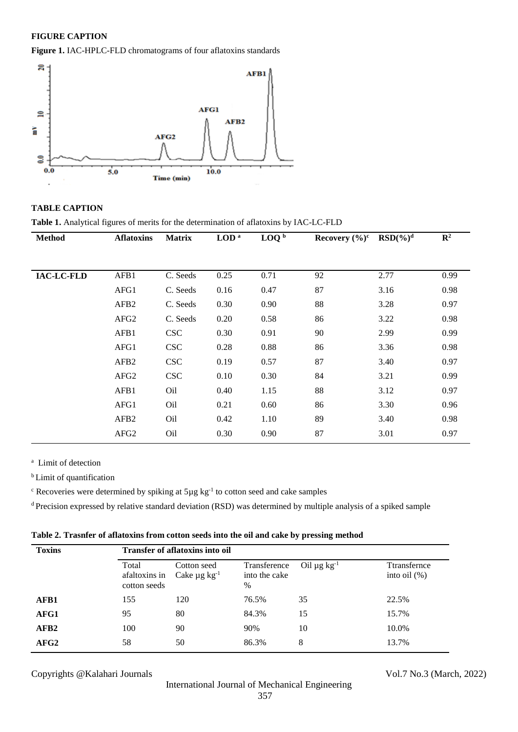# **FIGURE CAPTION**

**Figure 1.** IAC-HPLC-FLD chromatograms of four aflatoxins standards



# **TABLE CAPTION**

**Table 1.** Analytical figures of merits for the determination of aflatoxins by IAC-LC-FLD

| <b>Method</b>     | <b>Aflatoxins</b> | <b>Matrix</b> | LOD <sup>a</sup> | $\text{LOQ}$ <sub>p</sub> | Recovery $(\%)^c$ | $RSD(\%)^d$ | $\mathbf{R}^2$ |
|-------------------|-------------------|---------------|------------------|---------------------------|-------------------|-------------|----------------|
|                   |                   |               |                  |                           |                   |             |                |
| <b>IAC-LC-FLD</b> | AFB1              | C. Seeds      | 0.25             | 0.71                      | 92                | 2.77        | 0.99           |
|                   | AFG1              | C. Seeds      | 0.16             | 0.47                      | 87                | 3.16        | 0.98           |
|                   | AFB <sub>2</sub>  | C. Seeds      | 0.30             | 0.90                      | 88                | 3.28        | 0.97           |
|                   | AFG <sub>2</sub>  | C. Seeds      | 0.20             | 0.58                      | 86                | 3.22        | 0.98           |
|                   | AFB1              | <b>CSC</b>    | 0.30             | 0.91                      | 90                | 2.99        | 0.99           |
|                   | AFG1              | <b>CSC</b>    | 0.28             | 0.88                      | 86                | 3.36        | 0.98           |
|                   | AFB <sub>2</sub>  | <b>CSC</b>    | 0.19             | 0.57                      | 87                | 3.40        | 0.97           |
|                   | AFG <sub>2</sub>  | <b>CSC</b>    | 0.10             | 0.30                      | 84                | 3.21        | 0.99           |
|                   | AFB1              | Oil           | 0.40             | 1.15                      | 88                | 3.12        | 0.97           |
|                   | AFG1              | Oil           | 0.21             | 0.60                      | 86                | 3.30        | 0.96           |
|                   | AFB <sub>2</sub>  | Oil           | 0.42             | 1.10                      | 89                | 3.40        | 0.98           |
|                   | AFG <sub>2</sub>  | Oil           | 0.30             | 0.90                      | 87                | 3.01        | 0.97           |

a Limit of detection

<sup>b</sup>Limit of quantification

 $\textdegree$  Recoveries were determined by spiking at 5µg kg<sup>-1</sup> to cotton seed and cake samples

<sup>d</sup> Precision expressed by relative standard deviation (RSD) was determined by multiple analysis of a spiked sample

**Table 2. Trasnfer of aflatoxins from cotton seeds into the oil and cake by pressing method**

| <b>Toxins</b>    | <b>Transfer of aflatoxins into oil</b> |                                              |                                       |                              |                                 |  |  |
|------------------|----------------------------------------|----------------------------------------------|---------------------------------------|------------------------------|---------------------------------|--|--|
|                  | Total<br>afaltoxins in<br>cotton seeds | Cotton seed<br>Cake $\mu$ g kg <sup>-1</sup> | Transference<br>into the cake<br>$\%$ | Oil $\mu$ g kg <sup>-1</sup> | Ttransfernce<br>into oil $(\%)$ |  |  |
| AFB1             | 155                                    | 120                                          | 76.5%                                 | 35                           | 22.5%                           |  |  |
| AFG1             | 95                                     | 80                                           | 84.3%                                 | 15                           | 15.7%                           |  |  |
| AFB <sub>2</sub> | 100                                    | 90                                           | 90%                                   | 10                           | 10.0%                           |  |  |
| AFG2             | 58                                     | 50                                           | 86.3%                                 | 8                            | 13.7%                           |  |  |

Copyrights @Kalahari Journals Vol.7 No.3 (March, 2022)

International Journal of Mechanical Engineering 357